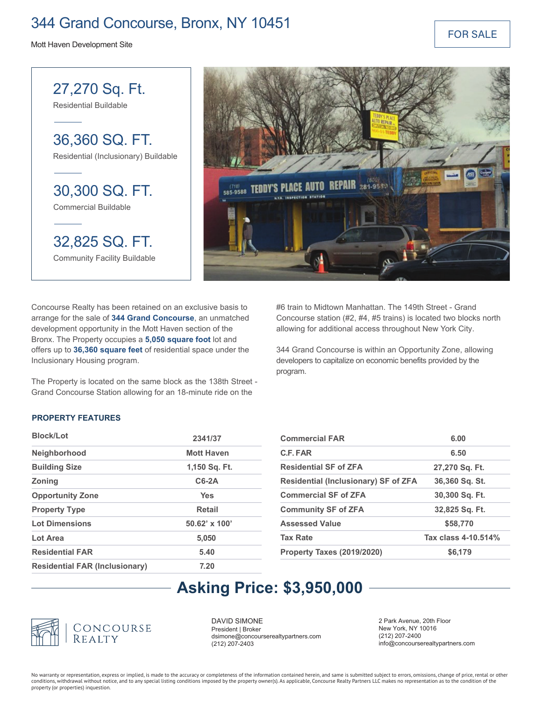### 344 Grand Concourse, Bronx, NY 10451

Mott Haven Development Site

FOR SALE

30,300 SQ. FT. Commercial Buildable 27,270 Sq. Ft. Residential Buildable 36,360 SQ. FT. Residential (Inclusionary) Buildable 32,825 SQ. FT.

Community Facility Buildable



Concourse Realty has been retained on an exclusive basis to arrange for the sale of **344 Grand Concourse**, an unmatched development opportunity in the Mott Haven section of the Bronx. The Property occupies a **5,050 square foot** lot and offers up to **36,360 square feet** of residential space under the Inclusionary Housing program.

The Property is located on the same block as the 138th Street - Grand Concourse Station allowing for an 18-minute ride on the

#6 train to Midtown Manhattan. The 149th Street - Grand Concourse station (#2, #4, #5 trains) is located two blocks north allowing for additional access throughout New York City.

344 Grand Concourse is within an Opportunity Zone, allowing developers to capitalize on economic benefits provided by the program.

### **PROPERTY FEATURES**

| Block/Lot                             | 2341/37              |
|---------------------------------------|----------------------|
| Neighborhood                          | <b>Mott Haven</b>    |
| <b>Building Size</b>                  | 1,150 Sq. Ft.        |
| <b>Zoning</b>                         | $C6-2A$              |
| <b>Opportunity Zone</b>               | Yes                  |
| <b>Property Type</b>                  | <b>Retail</b>        |
| <b>Lot Dimensions</b>                 | $50.62' \times 100'$ |
| Lot Area                              | 5,050                |
| <b>Residential FAR</b>                | 5.40                 |
| <b>Residential FAR (Inclusionary)</b> | 7.20                 |

| <b>Commercial FAR</b>                       | 6.00                |
|---------------------------------------------|---------------------|
| C.F. FAR                                    | 6.50                |
| <b>Residential SF of ZFA</b>                | 27,270 Sq. Ft.      |
| <b>Residential (Inclusionary) SF of ZFA</b> | 36,360 Sq. St.      |
| <b>Commercial SF of ZFA</b>                 | 30,300 Sq. Ft.      |
| <b>Community SF of ZFA</b>                  | 32,825 Sq. Ft.      |
| <b>Assessed Value</b>                       | \$58,770            |
| <b>Tax Rate</b>                             | Tax class 4-10.514% |
| <b>Property Taxes (2019/2020)</b>           | \$6,179             |

### **Asking Price: \$3,950,000**



DAVID SIMONE President | Broker dsimone@concourserealtypartners.com (212) 207-2403

2 Park Avenue, 20th Floor New York, NY 10016 (212) 207-2400 info@concourserealtypartners.com

No warranty or representation, express or implied, is made to the accuracy or completeness of the information contained herein, and same is submitted subject to errors, omissions, change of price, rental or other conditions, withdrawal without notice, and to any special listing conditions imposed by the property owner(s). As applicable, Concourse Realty Partners LLC makes no representation as to the condition of the property (or properties) inquestion.